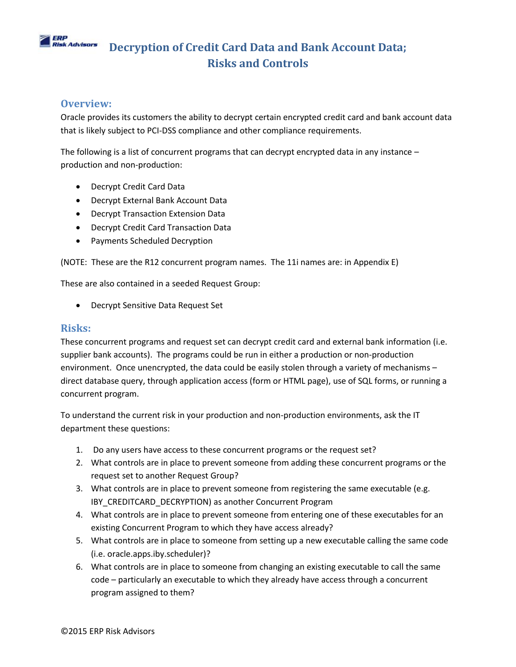

### **Overview:**

Oracle provides its customers the ability to decrypt certain encrypted credit card and bank account data that is likely subject to PCI-DSS compliance and other compliance requirements.

The following is a list of concurrent programs that can decrypt encrypted data in any instance – production and non-production:

- Decrypt Credit Card Data
- Decrypt External Bank Account Data
- Decrypt Transaction Extension Data
- Decrypt Credit Card Transaction Data
- Payments Scheduled Decryption

(NOTE: These are the R12 concurrent program names. The 11i names are: in Appendix E)

These are also contained in a seeded Request Group:

Decrypt Sensitive Data Request Set

### **Risks:**

These concurrent programs and request set can decrypt credit card and external bank information (i.e. supplier bank accounts). The programs could be run in either a production or non-production environment. Once unencrypted, the data could be easily stolen through a variety of mechanisms – direct database query, through application access (form or HTML page), use of SQL forms, or running a concurrent program.

To understand the current risk in your production and non-production environments, ask the IT department these questions:

- 1. Do any users have access to these concurrent programs or the request set?
- 2. What controls are in place to prevent someone from adding these concurrent programs or the request set to another Request Group?
- 3. What controls are in place to prevent someone from registering the same executable (e.g. IBY\_CREDITCARD\_DECRYPTION) as another Concurrent Program
- 4. What controls are in place to prevent someone from entering one of these executables for an existing Concurrent Program to which they have access already?
- 5. What controls are in place to someone from setting up a new executable calling the same code (i.e. oracle.apps.iby.scheduler)?
- 6. What controls are in place to someone from changing an existing executable to call the same code – particularly an executable to which they already have access through a concurrent program assigned to them?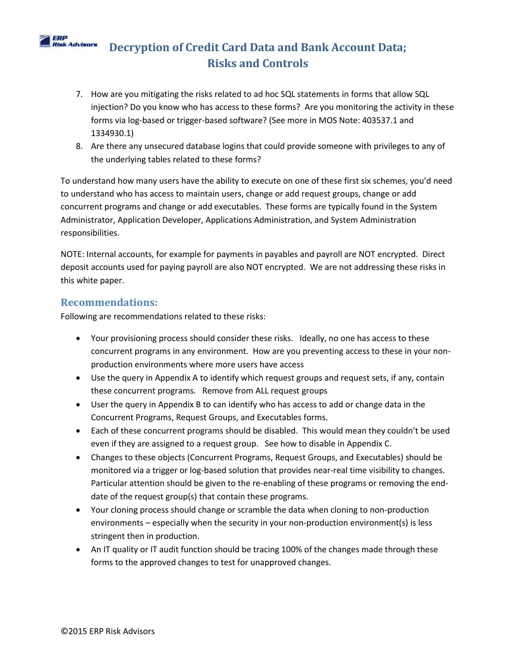- 7. How are you mitigating the risks related to ad hoc SQL statements in forms that allow SQL injection? Do you know who has access to these forms? Are you monitoring the activity in these forms via log-based or trigger-based software? (See more in MOS Note: 403537.1 and 1334930.1)
- 8. Are there any unsecured database logins that could provide someone with privileges to any of the underlying tables related to these forms?

To understand how many users have the ability to execute on one of these first six schemes, you'd need to understand who has access to maintain users, change or add request groups, change or add concurrent programs and change or add executables. These forms are typically found in the System Administrator, Application Developer, Applications Administration, and System Administration responsibilities.

NOTE: Internal accounts, for example for payments in payables and payroll are NOT encrypted. Direct deposit accounts used for paying payroll are also NOT encrypted. We are not addressing these risks in this white paper.

### **Recommendations:**

ERP

Following are recommendations related to these risks:

- Your provisioning process should consider these risks. Ideally, no one has access to these concurrent programs in any environment. How are you preventing access to these in your nonproduction environments where more users have access
- Use the query in Appendix A to identify which request groups and request sets, if any, contain these concurrent programs. Remove from ALL request groups
- User the query in Appendix B to can identify who has access to add or change data in the Concurrent Programs, Request Groups, and Executables forms.
- Each of these concurrent programs should be disabled. This would mean they couldn't be used even if they are assigned to a request group. See how to disable in Appendix C.
- Changes to these objects (Concurrent Programs, Request Groups, and Executables) should be monitored via a trigger or log-based solution that provides near-real time visibility to changes. Particular attention should be given to the re-enabling of these programs or removing the enddate of the request group(s) that contain these programs.
- Your cloning process should change or scramble the data when cloning to non-production environments – especially when the security in your non-production environment(s) is less stringent then in production.
- An IT quality or IT audit function should be tracing 100% of the changes made through these forms to the approved changes to test for unapproved changes.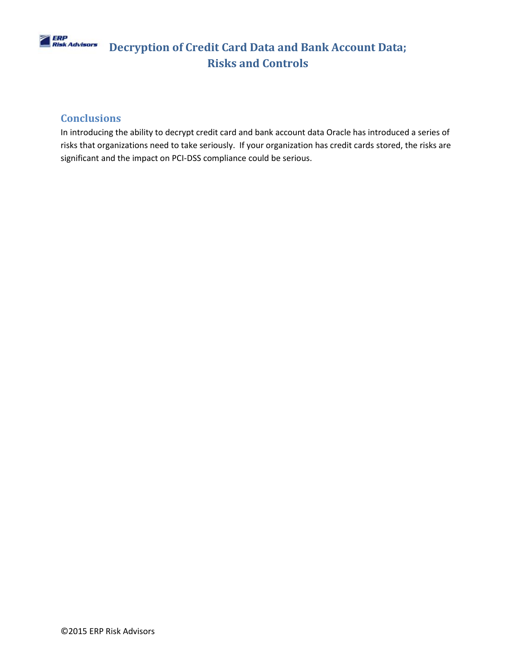

### **Conclusions**

In introducing the ability to decrypt credit card and bank account data Oracle has introduced a series of risks that organizations need to take seriously. If your organization has credit cards stored, the risks are significant and the impact on PCI-DSS compliance could be serious.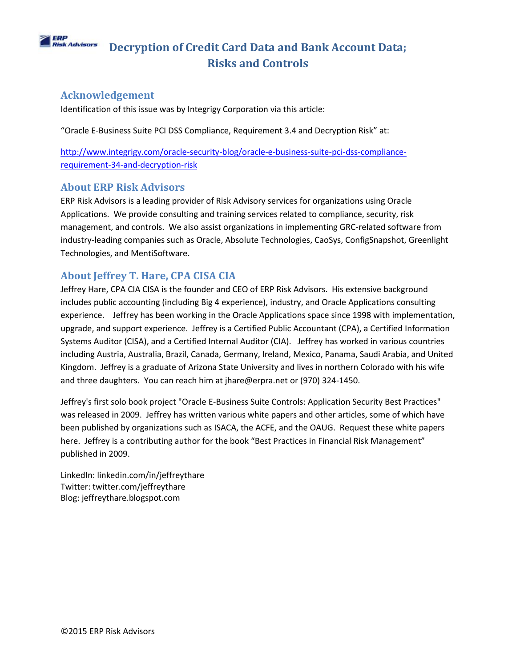#### ERP **Risk Advisors Decryption of Credit Card Data and Bank Account Data; Risks and Controls**

## **Acknowledgement**

Identification of this issue was by Integrigy Corporation via this article:

"Oracle E-Business Suite PCI DSS Compliance, Requirement 3.4 and Decryption Risk" at:

[http://www.integrigy.com/oracle-security-blog/oracle-e-business-suite-pci-dss-compliance](http://www.integrigy.com/oracle-security-blog/oracle-e-business-suite-pci-dss-compliance-requirement-34-and-decryption-risk)[requirement-34-and-decryption-risk](http://www.integrigy.com/oracle-security-blog/oracle-e-business-suite-pci-dss-compliance-requirement-34-and-decryption-risk)

## **About ERP Risk Advisors**

ERP Risk Advisors is a leading provider of Risk Advisory services for organizations using Oracle Applications. We provide consulting and training services related to compliance, security, risk management, and controls. We also assist organizations in implementing GRC-related software from industry-leading companies such as Oracle, Absolute Technologies, CaoSys, ConfigSnapshot, Greenlight Technologies, and MentiSoftware.

# **About Jeffrey T. Hare, CPA CISA CIA**

Jeffrey Hare, CPA CIA CISA is the founder and CEO of ERP Risk Advisors. His extensive background includes public accounting (including Big 4 experience), industry, and Oracle Applications consulting experience. Jeffrey has been working in the Oracle Applications space since 1998 with implementation, upgrade, and support experience. Jeffrey is a Certified Public Accountant (CPA), a Certified Information Systems Auditor (CISA), and a Certified Internal Auditor (CIA). Jeffrey has worked in various countries including Austria, Australia, Brazil, Canada, Germany, Ireland, Mexico, Panama, Saudi Arabia, and United Kingdom. Jeffrey is a graduate of Arizona State University and lives in northern Colorado with his wife and three daughters. You can reach him at jhare@erpra.net or (970) 324-1450.

Jeffrey's first solo book project "Oracle E-Business Suite Controls: Application Security Best Practices" was released in 2009. Jeffrey has written various white papers and other articles, some of which have been published by organizations such as ISACA, the ACFE, and the OAUG. Request these white papers here. Jeffrey is a contributing author for the book "Best Practices in Financial Risk Management" published in 2009.

LinkedIn: linkedin.com/in/jeffreythare Twitter: twitter.com/jeffreythare Blog: jeffreythare.blogspot.com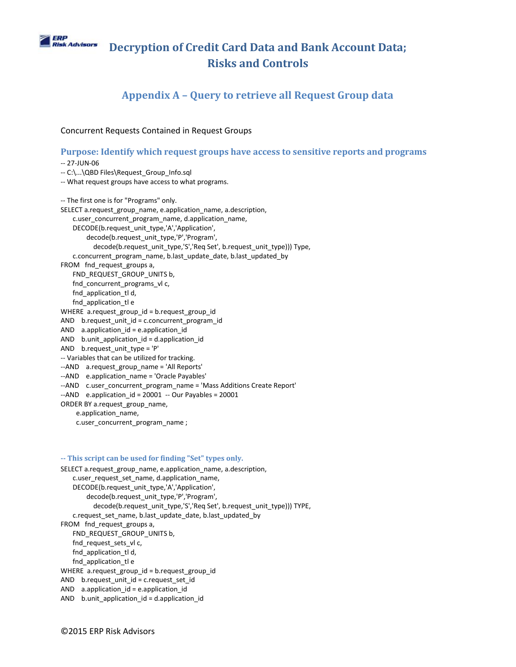

## **Appendix A – Query to retrieve all Request Group data**

#### Concurrent Requests Contained in Request Groups

#### **Purpose: Identify which request groups have access to sensitive reports and programs**

-- 27-JUN-06 -- C:\...\QBD Files\Request\_Group\_Info.sql -- What request groups have access to what programs. -- The first one is for "Programs" only. SELECT a.request\_group\_name, e.application\_name, a.description, c.user\_concurrent\_program\_name, d.application\_name, DECODE(b.request\_unit\_type,'A','Application', decode(b.request\_unit\_type,'P','Program', decode(b.request\_unit\_type,'S','Req Set', b.request\_unit\_type))) Type, c.concurrent\_program\_name, b.last\_update\_date, b.last\_updated\_by FROM fnd\_request\_groups a, FND\_REQUEST\_GROUP\_UNITS b, fnd concurrent programs vl c, fnd\_application\_tl d, fnd\_application\_tl e WHERE a.request group id = b.request group id AND b.request unit  $id = c$ .concurrent program id AND  $a$ .application  $id = e$ .application  $id$ AND b.unit application  $id = d$ .application  $id$ AND b.request\_unit\_type = 'P' -- Variables that can be utilized for tracking. --AND a.request\_group\_name = 'All Reports' --AND e.application name = 'Oracle Payables' --AND c.user\_concurrent\_program\_name = 'Mass Additions Create Report'  $-$ AND e.application id = 20001  $-$  Our Payables = 20001 ORDER BY a.request\_group\_name, e.application\_name, c.user\_concurrent\_program\_name ;

#### **-- This script can be used for finding "Set" types only.**

SELECT a.request\_group\_name, e.application\_name, a.description, c.user\_request\_set\_name, d.application\_name, DECODE(b.request\_unit\_type,'A','Application', decode(b.request\_unit\_type,'P','Program', decode(b.request\_unit\_type,'S','Req Set', b.request\_unit\_type))) TYPE, c.request set name, b.last update date, b.last updated by FROM fnd\_request\_groups a, FND\_REQUEST\_GROUP\_UNITS b, fnd request sets vl c, fnd\_application\_tl d, fnd\_application\_tl e WHERE a.request group id = b.request group id AND b.request\_unit\_id = c.request\_set\_id AND  $a$ .application  $id = e$ .application  $id$ AND b.unit application  $id = d$ .application  $id$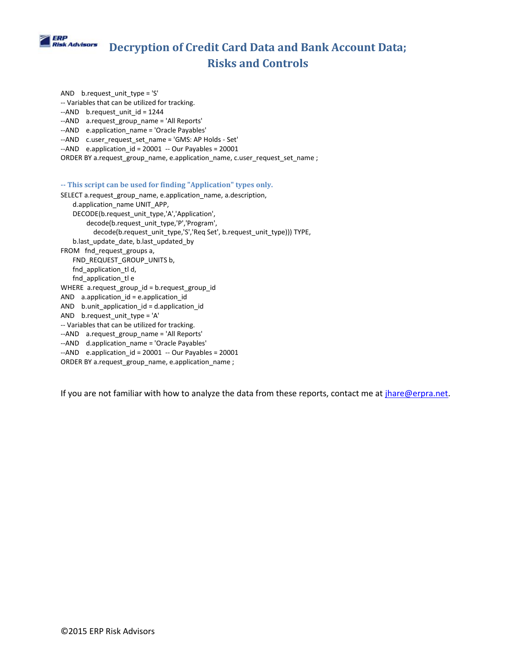

AND b.request unit type = 'S' -- Variables that can be utilized for tracking. --AND b.request\_unit\_id = 1244 --AND a.request\_group\_name = 'All Reports' --AND e.application name = 'Oracle Payables' --AND c.user\_request\_set\_name = 'GMS: AP Holds - Set'  $-$ AND e.application id = 20001  $-$  Our Payables = 20001 ORDER BY a.request\_group\_name, e.application\_name, c.user\_request\_set\_name ; **-- This script can be used for finding "Application" types only.** SELECT a.request\_group\_name, e.application\_name, a.description, d.application\_name UNIT\_APP, DECODE(b.request\_unit\_type,'A','Application', decode(b.request\_unit\_type,'P','Program', decode(b.request\_unit\_type,'S','Req Set', b.request\_unit\_type))) TYPE, b.last update date, b.last updated by FROM fnd\_request\_groups a, FND\_REQUEST\_GROUP\_UNITS b, fnd\_application\_tl d, fnd\_application\_tl e WHERE a.request\_group\_id = b.request\_group\_id AND a.application\_id = e.application\_id

AND b.unit\_application\_id = d.application\_id

- AND b.request unit type = 'A'
- -- Variables that can be utilized for tracking.
- --AND a.request\_group\_name = 'All Reports'
- --AND d.application\_name = 'Oracle Payables'
- --AND e.application\_id = 20001 -- Our Payables = 20001
- ORDER BY a.request\_group\_name, e.application\_name ;

If you are not familiar with how to analyze the data from these reports, contact me at [jhare@erpra.net.](mailto:jhare@erpra.net)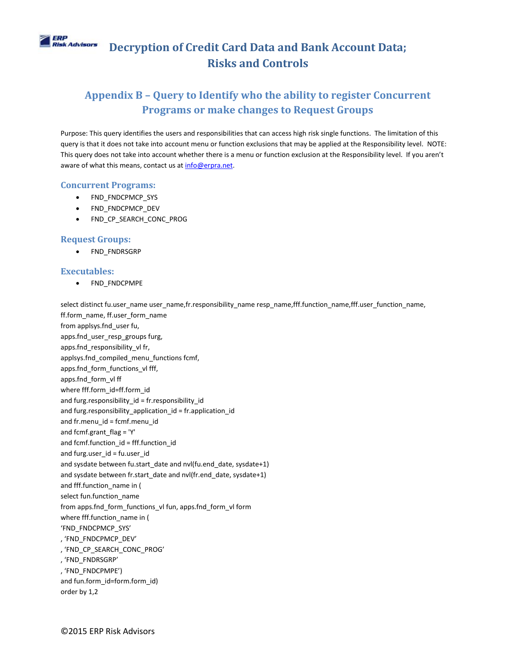

# **Appendix B – Query to Identify who the ability to register Concurrent Programs or make changes to Request Groups**

Purpose: This query identifies the users and responsibilities that can access high risk single functions. The limitation of this query is that it does not take into account menu or function exclusions that may be applied at the Responsibility level. NOTE: This query does not take into account whether there is a menu or function exclusion at the Responsibility level. If you aren't aware of what this means, contact us at info@erpra.net.

#### **Concurrent Programs:**

- FND FNDCPMCP SYS
- FND\_FNDCPMCP\_DEV
- FND CP\_SEARCH\_CONC\_PROG

#### **Request Groups:**

FND\_FNDRSGRP

#### **Executables:**

• FND FNDCPMPE

select distinct fu.user\_name user\_name,fr.responsibility\_name resp\_name,fff.function\_name,fff.user\_function\_name, ff.form\_name, ff.user\_form\_name from applsys.fnd\_user fu, apps.fnd\_user\_resp\_groups furg, apps.fnd\_responsibility\_vl fr, applsys.fnd\_compiled\_menu\_functions fcmf, apps.fnd\_form\_functions\_vl fff, apps.fnd\_form\_vl ff where fff.form\_id=ff.form\_id and furg.responsibility  $id = fr$ .responsibility  $id$ and furg.responsibility application id = fr.application id and fr.menu\_id = fcmf.menu\_id and fcmf.grant\_flag = 'Y' and fcmf.function\_id = fff.function\_id and furg.user\_id = fu.user\_id and sysdate between fu.start date and nvl(fu.end date, sysdate+1) and sysdate between fr.start\_date and nvl(fr.end\_date, sysdate+1) and fff.function\_name in ( select fun.function\_name from apps.fnd\_form\_functions\_vl fun, apps.fnd\_form\_vl form where fff.function\_name in ( 'FND\_FNDCPMCP\_SYS' , 'FND\_FNDCPMCP\_DEV' , 'FND\_CP\_SEARCH\_CONC\_PROG' , 'FND\_FNDRSGRP' , 'FND\_FNDCPMPE') and fun.form\_id=form.form\_id) order by 1,2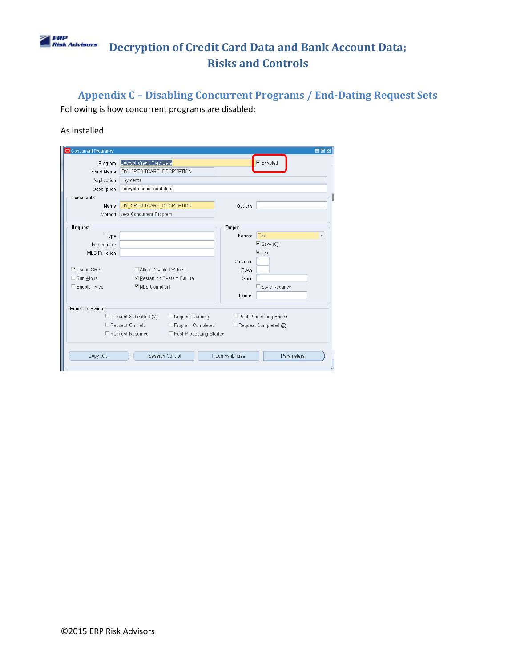## | ERP<br>| Risk Advisors **Decryption of Credit Card Data and Bank Account Data; Risks and Controls**

**Appendix C – Disabling Concurrent Programs / End-Dating Request Sets** Following is how concurrent programs are disabled:

#### As installed:

| Concurrent Programs<br>o |                                              |                             |                   | <b>HOX</b>                |
|--------------------------|----------------------------------------------|-----------------------------|-------------------|---------------------------|
| Program                  | Decrypt Credit Card Data                     |                             |                   | $\nu$ Enabled             |
| Short Name               | IBY CREDITCARD DECRYPTION                    |                             |                   |                           |
| Application              | Payments                                     |                             |                   |                           |
| Description              | Decrypts credit card data                    |                             |                   |                           |
| Executable               |                                              |                             |                   |                           |
| Name                     | <b>IBY CREDITCARD DECRYPTION</b>             |                             | Options           |                           |
| Method                   | Java Concurrent Program                      |                             |                   |                           |
| Request                  |                                              |                             | Output            |                           |
| Type                     |                                              |                             | Format            | Text                      |
| Incrementor              |                                              |                             |                   | $\triangleright$ Save (C) |
| <b>MLS Function</b>      |                                              |                             |                   | $\nabla$ Print            |
|                          |                                              |                             | Columns           |                           |
| ■ Use in SRS             | Allow Disabled Values                        |                             | <b>Rows</b>       |                           |
| $\Box$ Run Alone         |                                              | ■ Restart on System Failure | Style             |                           |
| Enable Trace             | ■ NLS Compliant                              |                             |                   | Style Reguired            |
|                          |                                              |                             | Printer           |                           |
| <b>Business Events</b>   |                                              |                             |                   |                           |
|                          | $\Box$ Request Submitted ( $\underline{Y}$ ) | □ Request Running           |                   | □ Post Processing Ended   |
|                          | Request On Hold                              | □ Program Completed         |                   | Request Completed (Z)     |
|                          | Request Resumed                              | □ Post Processing Started   |                   |                           |
| Copy to                  |                                              | Session Control             | Incompatibilities | Parameters                |
|                          |                                              |                             |                   |                           |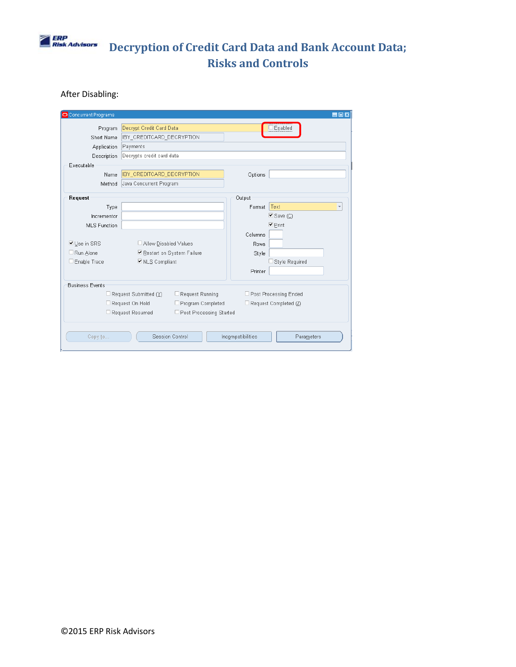

## After Disabling:

| <b>Concurrent Programs</b> |                                  |                             |                   | $\blacksquare$ $\blacksquare$ $\times$ |
|----------------------------|----------------------------------|-----------------------------|-------------------|----------------------------------------|
| Program                    | Decrypt Credit Card Data         |                             |                   | Enabled                                |
| Short Name                 | IBY_CREDITCARD_DECRYPTION        |                             |                   |                                        |
| Application                | Payments                         |                             |                   |                                        |
| Description                | Decrypts credit card data        |                             |                   |                                        |
| Executable                 |                                  |                             |                   |                                        |
| Name                       | <b>IBY CREDITCARD DECRYPTION</b> |                             | Options           |                                        |
| Method                     | Java Concurrent Program          |                             |                   |                                        |
| Request                    |                                  |                             | Output            |                                        |
| Type                       |                                  |                             | Format            | Text                                   |
| Incrementor                |                                  |                             |                   | $\blacksquare$ Save ( $\bigcirc$ )     |
| <b>MLS Function</b>        |                                  |                             |                   | $\blacktriangleright$ Print            |
|                            |                                  |                             | Columns           |                                        |
| <b>ØUse in SRS</b>         | Allow Disabled Values            |                             | Rows              |                                        |
| □ Run Alone                |                                  | ■ Restart on System Failure |                   |                                        |
|                            |                                  |                             | Style             |                                        |
| Enable Trace               | ■ NLS Compliant                  |                             |                   | Style Required                         |
|                            |                                  |                             | Printer           |                                        |
| <b>Business Events</b>     |                                  |                             |                   |                                        |
|                            | Request Submitted (Y)            | Request Running             |                   | □ Post Processing Ended                |
|                            | Request On Hold                  | □ Program Completed         |                   | Request Completed (Z)                  |
|                            | Request Resumed                  | □ Post Processing Started   |                   |                                        |
|                            |                                  |                             |                   |                                        |
| Copy to                    |                                  | Session Control             | Incompatibilities | Parameters                             |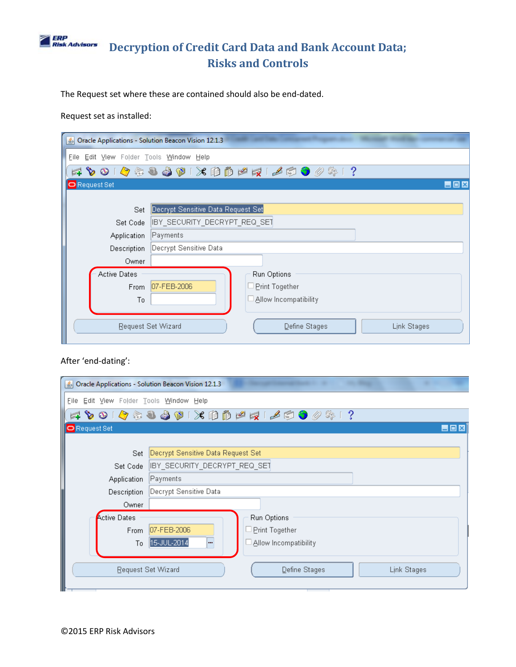## **ERP**<br>Risk Advisors **Decryption of Credit Card Data and Bank Account Data; Risks and Controls**

The Request set where these are contained should also be end-dated.

Request set as installed:

| Dracle Applications - Solution Beacon Vision 12.1.3 |                                                    |
|-----------------------------------------------------|----------------------------------------------------|
| Eile Edit View Folder Tools Window Help             |                                                    |
|                                                     | **********************                             |
| <b>O</b> Request Set                                | $\blacksquare$ $\blacksquare$ $\times$             |
|                                                     |                                                    |
| Set                                                 | Decrypt Sensitive Data Request Set                 |
| Set Code                                            | IBY_SECURITY_DECRYPT_REQ_SET                       |
| Application                                         | Payments                                           |
| Description                                         | Decrypt Sensitive Data                             |
| Owner                                               |                                                    |
| <b>Active Dates</b>                                 | Run Options                                        |
| <b>From</b>                                         | 07-FEB-2006<br><b>Print Together</b>               |
| To                                                  | Allow Incompatibility                              |
|                                                     | Request Set Wizard<br>Define Stages<br>Link Stages |

### After 'end-dating':

| $\left  \frac{\phi}{2} \right $         | Oracle Applications - Solution Beacon Vision 12.1.3 |
|-----------------------------------------|-----------------------------------------------------|
| File Edit View Folder Tools Window Help |                                                     |
|                                         | FLP 0   Q & Q Q O   X D D P F   L O O O &   ?       |
| <b>O</b> Request Set                    | <b>HOX</b>                                          |
|                                         |                                                     |
| Set                                     | Decrypt Sensitive Data Request Set                  |
| Set Code                                | IBY_SECURITY_DECRYPT_REQ_SET                        |
| Application                             | Payments                                            |
| Description                             | Decrypt Sensitive Data                              |
| Owner                                   |                                                     |
| <b>Active Dates</b>                     | Run Options                                         |
| <b>From</b>                             | 07-FEB-2006<br>Print Together                       |
| To                                      | 15-JUL-2014<br>Allow Incompatibility<br>            |
|                                         | Request Set Wizard<br>Define Stages<br>Link Stages  |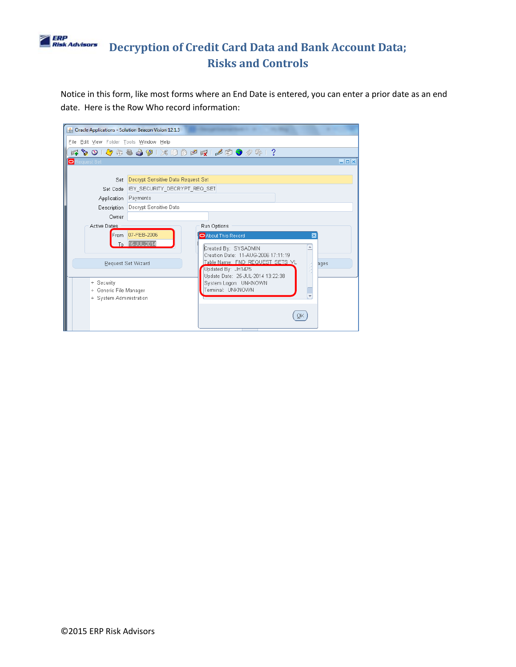

Notice in this form, like most forms where an End Date is entered, you can enter a prior date as an end date. Here is the Row Who record information:

| <b>6</b> Oracle Applications - Solution Beacon Vision 12.1.3                                                                                        |                                                                                                                                                                                                                                                                                |                                                                                                               |
|-----------------------------------------------------------------------------------------------------------------------------------------------------|--------------------------------------------------------------------------------------------------------------------------------------------------------------------------------------------------------------------------------------------------------------------------------|---------------------------------------------------------------------------------------------------------------|
| File Edit View Folder Tools Window Help                                                                                                             |                                                                                                                                                                                                                                                                                |                                                                                                               |
|                                                                                                                                                     |                                                                                                                                                                                                                                                                                |                                                                                                               |
|                                                                                                                                                     |                                                                                                                                                                                                                                                                                | $\Box$ $\Box$ $\times$                                                                                        |
| Payments<br>Decrypt Sensitive Data<br>From 07-FEB-2006<br>To 15-JUL-2014<br>Request Set Wizard<br>+ Generic File Manager<br>+ System Administration | Run Options<br>About This Record<br>$\overline{\mathbf{x}}$<br>Created By: SYSADMIN<br>Creation Date: 11-AUG-2006 17:11:19<br>Table Name: FND REQUEST SETS VL<br>ages<br>Updated By: JH1475<br>Update Date: 25-JUL-2014 13:22:38<br>System Logon: UNKNOWN<br>Terminal: UNKNOWN |                                                                                                               |
|                                                                                                                                                     |                                                                                                                                                                                                                                                                                | FOO O & & & O X D D P R   A & O 0 & 1 ?<br>Decrypt Sensitive Data Request Set<br>IBY SECURITY DECRYPT REQ SET |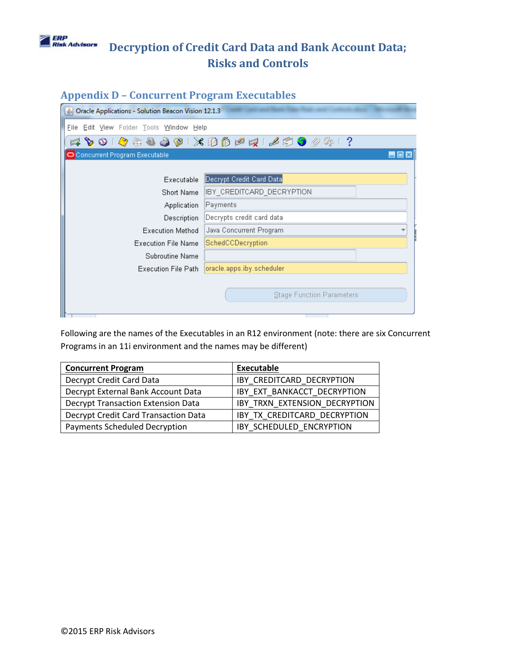

# **Appendix D – Concurrent Program Executables**

| Oracle Applications - Solution Beacon Vision 12.1.3 |                                        |  |
|-----------------------------------------------------|----------------------------------------|--|
| Eile Edit View Folder Tools Window Help             |                                        |  |
| $\circ$ $\circ$                                     | G&&&@1XDBPRIA@O0\$1?                   |  |
| Concurrent Program Executable                       | $\blacksquare$ $\blacksquare$ $\times$ |  |
|                                                     |                                        |  |
| <b>Executable</b>                                   | Decrypt Credit Card Data               |  |
| Short Name                                          | IBY CREDITCARD DECRYPTION              |  |
| Payments<br>Application                             |                                        |  |
| Decrypts credit card data<br>Description            |                                        |  |
| <b>Execution Method</b>                             | Java Concurrent Program                |  |
| <b>Execution File Name</b>                          | SchedCCDecryption                      |  |
| Subroutine Name                                     |                                        |  |
| Execution File Path                                 | oracle.apps.iby.scheduler              |  |
|                                                     |                                        |  |
|                                                     | <b>Stage Function Parameters</b>       |  |
|                                                     |                                        |  |

Following are the names of the Executables in an R12 environment (note: there are six Concurrent Programs in an 11i environment and the names may be different)

| <b>Concurrent Program</b>                 | <b>Executable</b>             |
|-------------------------------------------|-------------------------------|
| Decrypt Credit Card Data                  | IBY CREDITCARD DECRYPTION     |
| Decrypt External Bank Account Data        | IBY EXT BANKACCT DECRYPTION   |
| <b>Decrypt Transaction Extension Data</b> | IBY TRXN EXTENSION DECRYPTION |
| Decrypt Credit Card Transaction Data      | IBY TX CREDITCARD DECRYPTION  |
| <b>Payments Scheduled Decryption</b>      | IBY SCHEDULED ENCRYPTION      |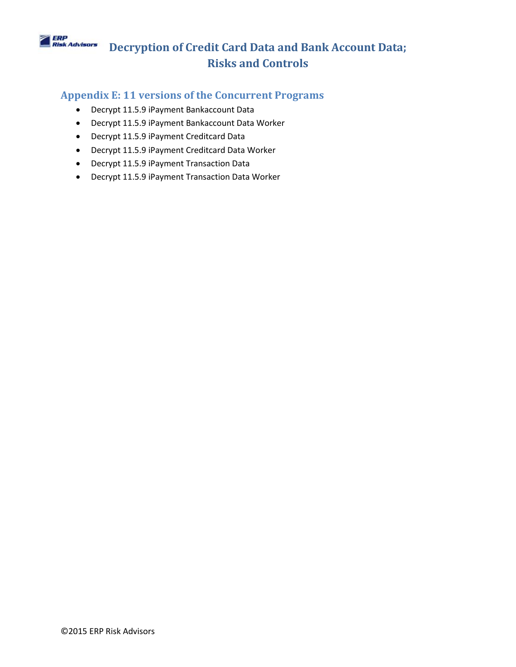## **ERP**<br>Risk Advisors **Decryption of Credit Card Data and Bank Account Data; Risks and Controls**

## **Appendix E: 11 versions of the Concurrent Programs**

- Decrypt 11.5.9 iPayment Bankaccount Data
- Decrypt 11.5.9 iPayment Bankaccount Data Worker
- Decrypt 11.5.9 iPayment Creditcard Data
- Decrypt 11.5.9 iPayment Creditcard Data Worker
- Decrypt 11.5.9 iPayment Transaction Data
- Decrypt 11.5.9 iPayment Transaction Data Worker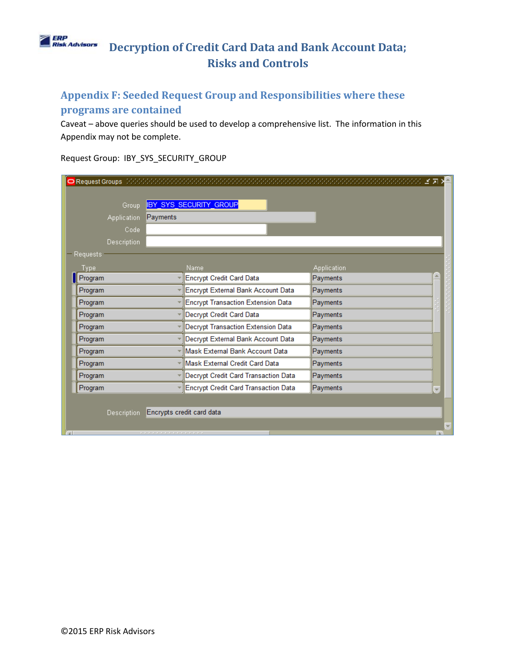## **ERP**<br>Risk Advisors **Decryption of Credit Card Data and Bank Account Data; Risks and Controls**

# **Appendix F: Seeded Request Group and Responsibilities where these programs are contained**

Caveat – above queries should be used to develop a comprehensive list. The information in this Appendix may not be complete.

Request Group: IBY\_SYS\_SECURITY\_GROUP

| Group              |          | <b>IBY_SYS_SECURITY_GROUP</b>             |                    |  |
|--------------------|----------|-------------------------------------------|--------------------|--|
| <b>Application</b> | Payments |                                           |                    |  |
| Code               |          |                                           |                    |  |
| <b>Description</b> |          |                                           |                    |  |
| Requests           |          |                                           |                    |  |
| Type               |          | Name                                      | <b>Application</b> |  |
| Program            |          | Encrypt Credit Card Data                  | Payments           |  |
| Program            |          | Encrypt External Bank Account Data        | Payments           |  |
| Program            |          | <b>Encrypt Transaction Extension Data</b> | Payments           |  |
| Program            |          | Decrypt Credit Card Data                  | Payments           |  |
| Program            |          | Decrypt Transaction Extension Data        | Payments           |  |
| Program            |          | Decrypt External Bank Account Data        | Payments           |  |
| Program            |          | Mask External Bank Account Data           | Payments           |  |
| Program            |          | Mask External Credit Card Data            | Payments           |  |
| Program            |          | Decrypt Credit Card Transaction Data      | Payments           |  |
| Program            |          | Encrypt Credit Card Transaction Data      | Payments           |  |
|                    |          |                                           |                    |  |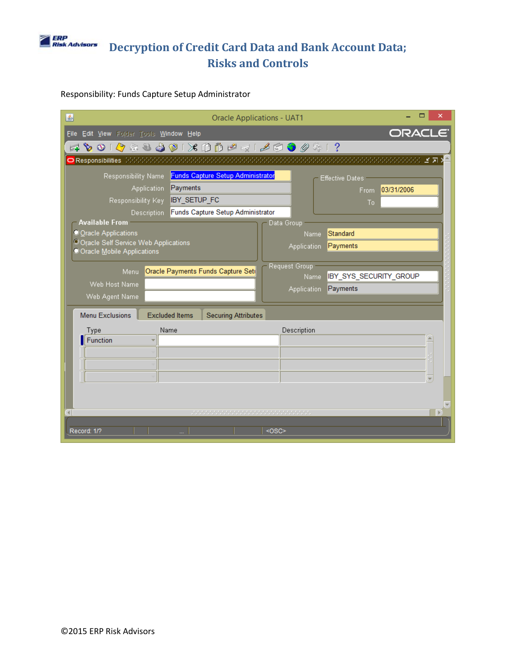

### Responsibility: Funds Capture Setup Administrator

| <b>Oracle Applications - UAT1</b><br>国                                                    |
|-------------------------------------------------------------------------------------------|
| ORACLE <sup>®</sup><br>File Edit View Folder Tools Window Help                            |
| 4001948901X00041690041?                                                                   |
| O Responsibilities - Web Web Web Web Web Web Web<br>SOSOSOSOSOS M N                       |
| <b>Funds Capture Setup Administrator</b><br>Responsibility Name<br><b>Effective Dates</b> |
| Payments<br><b>Application</b><br>03/31/2006<br>From                                      |
| <b>IBY SETUP FC</b><br>Responsibility Key<br>To                                           |
| Funds Capture Setup Administrator<br>Description                                          |
| <b>Available From</b><br>Data Group<br>O Oracle Applications<br>Standard                  |
| Name<br><sup>©</sup> Oracle Self Service Web Applications                                 |
| Payments<br>Application<br>Oracle Mobile Applications                                     |
| Request Group<br>Oracle Payments Funds Capture Set<br>Menu                                |
| IBY_SYS_SECURITY_GROUP<br>Name<br>Web Host Name                                           |
| Payments<br><b>Application</b>                                                            |
| Web Agent Name                                                                            |
| <b>Menu Exclusions</b><br><b>Excluded Items</b><br><b>Securing Attributes</b>             |
| Name<br>Description<br>Type                                                               |
| Function                                                                                  |
|                                                                                           |
|                                                                                           |
|                                                                                           |
|                                                                                           |
|                                                                                           |
|                                                                                           |
| Record: 1/?<br>$<$ OSC>                                                                   |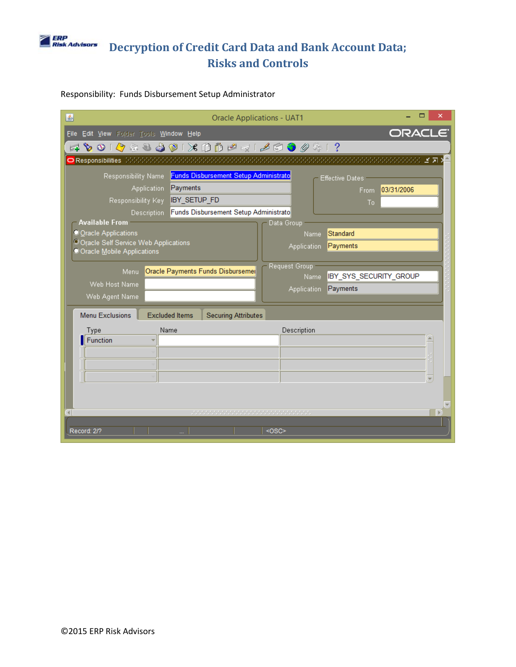

### Responsibility: Funds Disbursement Setup Administrator

| <b>Oracle Applications - UAT1</b><br>圖                                            |
|-----------------------------------------------------------------------------------|
| ORACLE <sup>®</sup><br>File Edit View Folder Tools Window Help                    |
| 4001048801X00141690041?                                                           |
| O Responsibilities   MANAMANAMANAMANAMAN<br>小穴 圣司                                 |
| Funds Disbursement Setup Administrato<br>Responsibility Name<br>Effective Dates   |
| Payments<br>Application<br>03/31/2006<br>From:                                    |
| Responsibility Key<br><b>IBY SETUP FD</b><br>Τo                                   |
| Funds Disbursement Setup Administrato<br>Description<br><b>Available From</b>     |
| Data Group<br>Oracle Applications<br>Standard<br>Name                             |
| <sup>©</sup> Oracle Self Service Web Applications<br>Payments<br>Application      |
| Oracle Mobile Applications                                                        |
| Request Group<br>Oracle Payments Funds Disbursemer<br>Menu                        |
| IBY_SYS_SECURITY_GROUP<br>Name<br>Web Host Name<br>Payments<br><b>Application</b> |
| Web Agent Name                                                                    |
| <b>Menu Exclusions</b><br><b>Excluded Items</b><br><b>Securing Attributes</b>     |
| Name<br>Description<br>Type                                                       |
| Function                                                                          |
|                                                                                   |
|                                                                                   |
|                                                                                   |
|                                                                                   |
| <b>b</b><br>$\left  \cdot \right $                                                |
|                                                                                   |
| Record: 2/?<br><0SC>                                                              |